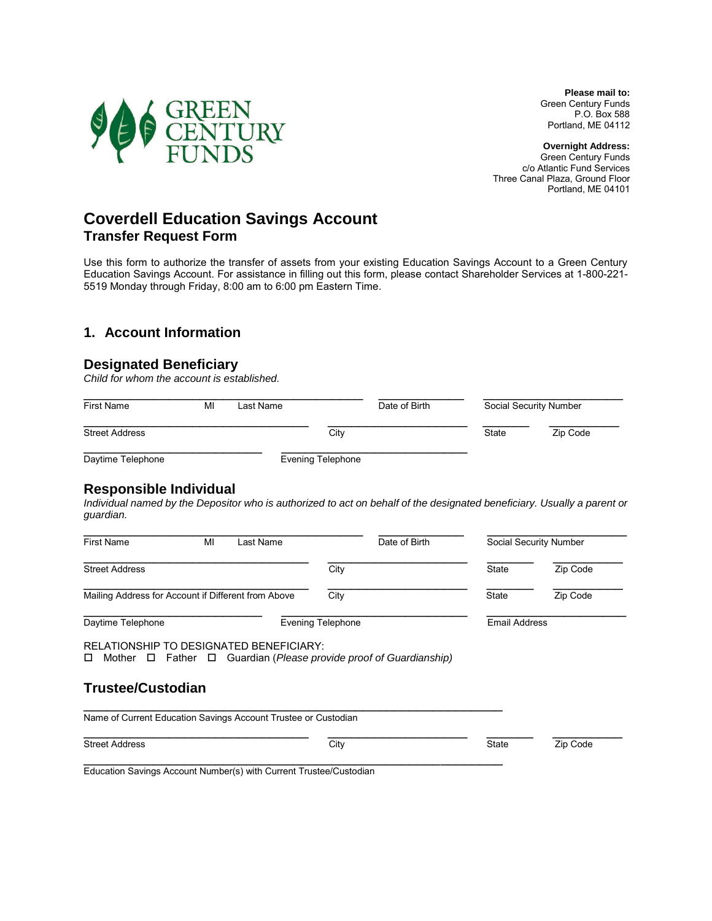**Please mail to:** Green Century Funds P.O. Box 588 Portland, ME 04112

**Overnight Address:** Green Century Funds c/o Atlantic Fund Services Three Canal Plaza, Ground Floor Portland, ME 04101



# **Coverdell Education Savings Account Transfer Request Form**

Use this form to authorize the transfer of assets from your existing Education Savings Account to a Green Century Education Savings Account. For assistance in filling out this form, please contact Shareholder Services at 1-800-221- 5519 Monday through Friday, 8:00 am to 6:00 pm Eastern Time.

## **1. Account Information**

## **Designated Beneficiary**

*Child for whom the account is established.*

| First Name            | MI | Last Name                | Date of Birth | Social Security Number |          |
|-----------------------|----|--------------------------|---------------|------------------------|----------|
| <b>Street Address</b> |    | City                     |               | State                  | Zip Code |
| Daytime Telephone     |    | <b>Evening Telephone</b> |               |                        |          |

## **Responsible Individual**

*Individual named by the Depositor who is authorized to act on behalf of the designated beneficiary. Usually a parent or guardian.* 

| <b>First Name</b>                                              | MI | Last Name                | Date of Birth                                                                 |              | Social Security Number |  |
|----------------------------------------------------------------|----|--------------------------|-------------------------------------------------------------------------------|--------------|------------------------|--|
| <b>Street Address</b>                                          |    |                          | City                                                                          | <b>State</b> | Zip Code               |  |
| Mailing Address for Account if Different from Above            |    |                          | City                                                                          | State        | Zip Code               |  |
| Daytime Telephone                                              |    | <b>Evening Telephone</b> |                                                                               |              | Email Address          |  |
| RELATIONSHIP TO DESIGNATED BENEFICIARY:<br>Mother<br>ப         |    |                          | $\Box$ Father $\Box$ Guardian ( <i>Please provide proof of Guardianship</i> ) |              |                        |  |
| <b>Trustee/Custodian</b>                                       |    |                          |                                                                               |              |                        |  |
| Name of Current Education Savings Account Trustee or Custodian |    |                          |                                                                               |              |                        |  |
|                                                                |    |                          |                                                                               |              |                        |  |

Education Savings Account Number(s) with Current Trustee/Custodian